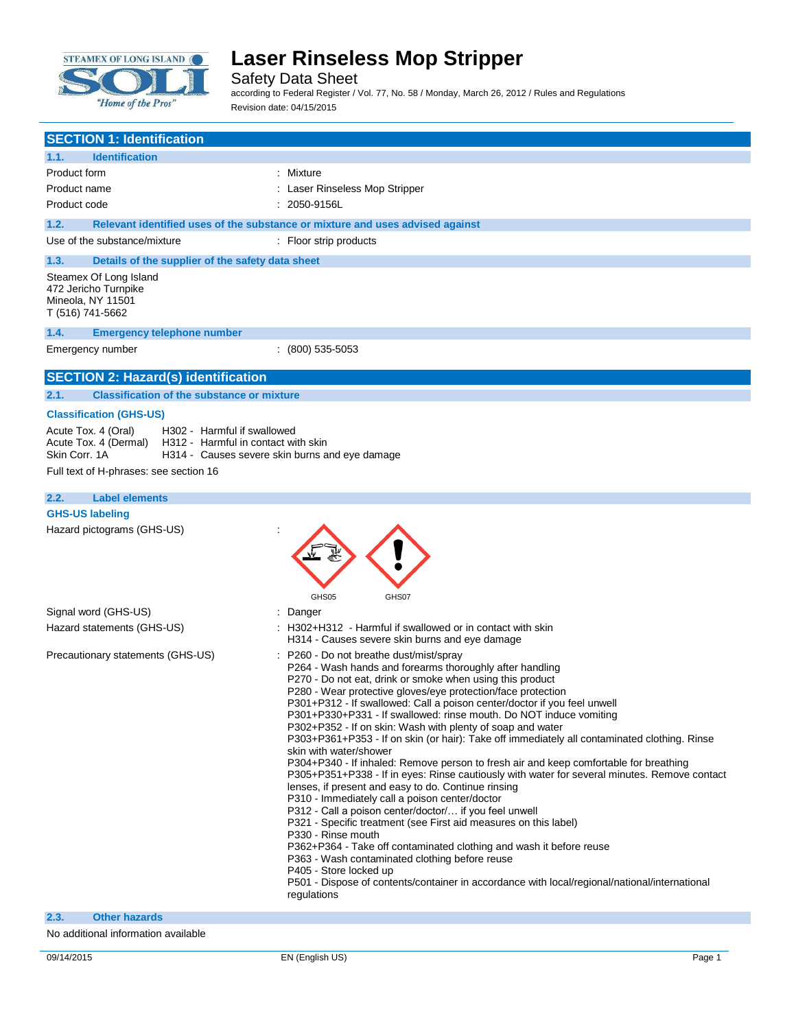

Safety Data Sheet

according to Federal Register / Vol. 77, No. 58 / Monday, March 26, 2012 / Rules and Regulations Revision date: 04/15/2015

| <b>SECTION 1: Identification</b>                                                        |                                                                                                                                                                                                                                                                                                                                                                                                                                                                                                                                                                                                                                                                                                                                                                                                                                                                                                                                                                                                                                                                                                                                                                                                                                                                                                     |
|-----------------------------------------------------------------------------------------|-----------------------------------------------------------------------------------------------------------------------------------------------------------------------------------------------------------------------------------------------------------------------------------------------------------------------------------------------------------------------------------------------------------------------------------------------------------------------------------------------------------------------------------------------------------------------------------------------------------------------------------------------------------------------------------------------------------------------------------------------------------------------------------------------------------------------------------------------------------------------------------------------------------------------------------------------------------------------------------------------------------------------------------------------------------------------------------------------------------------------------------------------------------------------------------------------------------------------------------------------------------------------------------------------------|
| <b>Identification</b><br>1.1.                                                           |                                                                                                                                                                                                                                                                                                                                                                                                                                                                                                                                                                                                                                                                                                                                                                                                                                                                                                                                                                                                                                                                                                                                                                                                                                                                                                     |
| Product form                                                                            | : Mixture                                                                                                                                                                                                                                                                                                                                                                                                                                                                                                                                                                                                                                                                                                                                                                                                                                                                                                                                                                                                                                                                                                                                                                                                                                                                                           |
| Product name                                                                            | : Laser Rinseless Mop Stripper                                                                                                                                                                                                                                                                                                                                                                                                                                                                                                                                                                                                                                                                                                                                                                                                                                                                                                                                                                                                                                                                                                                                                                                                                                                                      |
| Product code                                                                            | $: 2050 - 9156L$                                                                                                                                                                                                                                                                                                                                                                                                                                                                                                                                                                                                                                                                                                                                                                                                                                                                                                                                                                                                                                                                                                                                                                                                                                                                                    |
| 1.2.                                                                                    | Relevant identified uses of the substance or mixture and uses advised against                                                                                                                                                                                                                                                                                                                                                                                                                                                                                                                                                                                                                                                                                                                                                                                                                                                                                                                                                                                                                                                                                                                                                                                                                       |
| Use of the substance/mixture                                                            | : Floor strip products                                                                                                                                                                                                                                                                                                                                                                                                                                                                                                                                                                                                                                                                                                                                                                                                                                                                                                                                                                                                                                                                                                                                                                                                                                                                              |
| 1.3.                                                                                    | Details of the supplier of the safety data sheet                                                                                                                                                                                                                                                                                                                                                                                                                                                                                                                                                                                                                                                                                                                                                                                                                                                                                                                                                                                                                                                                                                                                                                                                                                                    |
| Steamex Of Long Island<br>472 Jericho Turnpike<br>Mineola, NY 11501<br>T (516) 741-5662 |                                                                                                                                                                                                                                                                                                                                                                                                                                                                                                                                                                                                                                                                                                                                                                                                                                                                                                                                                                                                                                                                                                                                                                                                                                                                                                     |
| 1.4.<br><b>Emergency telephone number</b>                                               |                                                                                                                                                                                                                                                                                                                                                                                                                                                                                                                                                                                                                                                                                                                                                                                                                                                                                                                                                                                                                                                                                                                                                                                                                                                                                                     |
| Emergency number                                                                        | $(800)$ 535-5053                                                                                                                                                                                                                                                                                                                                                                                                                                                                                                                                                                                                                                                                                                                                                                                                                                                                                                                                                                                                                                                                                                                                                                                                                                                                                    |
| <b>SECTION 2: Hazard(s) identification</b>                                              |                                                                                                                                                                                                                                                                                                                                                                                                                                                                                                                                                                                                                                                                                                                                                                                                                                                                                                                                                                                                                                                                                                                                                                                                                                                                                                     |
| 2.1.                                                                                    | <b>Classification of the substance or mixture</b>                                                                                                                                                                                                                                                                                                                                                                                                                                                                                                                                                                                                                                                                                                                                                                                                                                                                                                                                                                                                                                                                                                                                                                                                                                                   |
| <b>Classification (GHS-US)</b>                                                          |                                                                                                                                                                                                                                                                                                                                                                                                                                                                                                                                                                                                                                                                                                                                                                                                                                                                                                                                                                                                                                                                                                                                                                                                                                                                                                     |
| Acute Tox. 4 (Oral)<br>Acute Tox. 4 (Dermal)<br>Skin Corr. 1A                           | H302 - Harmful if swallowed<br>H312 - Harmful in contact with skin<br>H314 - Causes severe skin burns and eye damage                                                                                                                                                                                                                                                                                                                                                                                                                                                                                                                                                                                                                                                                                                                                                                                                                                                                                                                                                                                                                                                                                                                                                                                |
| Full text of H-phrases: see section 16                                                  |                                                                                                                                                                                                                                                                                                                                                                                                                                                                                                                                                                                                                                                                                                                                                                                                                                                                                                                                                                                                                                                                                                                                                                                                                                                                                                     |
| 2.2.<br><b>Label elements</b>                                                           |                                                                                                                                                                                                                                                                                                                                                                                                                                                                                                                                                                                                                                                                                                                                                                                                                                                                                                                                                                                                                                                                                                                                                                                                                                                                                                     |
| <b>GHS-US labeling</b>                                                                  |                                                                                                                                                                                                                                                                                                                                                                                                                                                                                                                                                                                                                                                                                                                                                                                                                                                                                                                                                                                                                                                                                                                                                                                                                                                                                                     |
| Hazard pictograms (GHS-US)                                                              | GHS05<br>GHS07                                                                                                                                                                                                                                                                                                                                                                                                                                                                                                                                                                                                                                                                                                                                                                                                                                                                                                                                                                                                                                                                                                                                                                                                                                                                                      |
| Signal word (GHS-US)                                                                    | : Danger                                                                                                                                                                                                                                                                                                                                                                                                                                                                                                                                                                                                                                                                                                                                                                                                                                                                                                                                                                                                                                                                                                                                                                                                                                                                                            |
| Hazard statements (GHS-US)                                                              | : H302+H312 - Harmful if swallowed or in contact with skin<br>H314 - Causes severe skin burns and eye damage                                                                                                                                                                                                                                                                                                                                                                                                                                                                                                                                                                                                                                                                                                                                                                                                                                                                                                                                                                                                                                                                                                                                                                                        |
| Precautionary statements (GHS-US)                                                       | : P260 - Do not breathe dust/mist/spray<br>P264 - Wash hands and forearms thoroughly after handling<br>P270 - Do not eat, drink or smoke when using this product<br>P280 - Wear protective gloves/eye protection/face protection<br>P301+P312 - If swallowed: Call a poison center/doctor if you feel unwell<br>P301+P330+P331 - If swallowed: rinse mouth. Do NOT induce vomiting<br>P302+P352 - If on skin: Wash with plenty of soap and water<br>P303+P361+P353 - If on skin (or hair): Take off immediately all contaminated clothing. Rinse<br>skin with water/shower<br>P304+P340 - If inhaled: Remove person to fresh air and keep comfortable for breathing<br>P305+P351+P338 - If in eyes: Rinse cautiously with water for several minutes. Remove contact<br>lenses, if present and easy to do. Continue rinsing<br>P310 - Immediately call a poison center/doctor<br>P312 - Call a poison center/doctor/ if you feel unwell<br>P321 - Specific treatment (see First aid measures on this label)<br>P330 - Rinse mouth<br>P362+P364 - Take off contaminated clothing and wash it before reuse<br>P363 - Wash contaminated clothing before reuse<br>P405 - Store locked up<br>P501 - Dispose of contents/container in accordance with local/regional/national/international<br>regulations |

#### **2.3. Other hazards**

No additional information available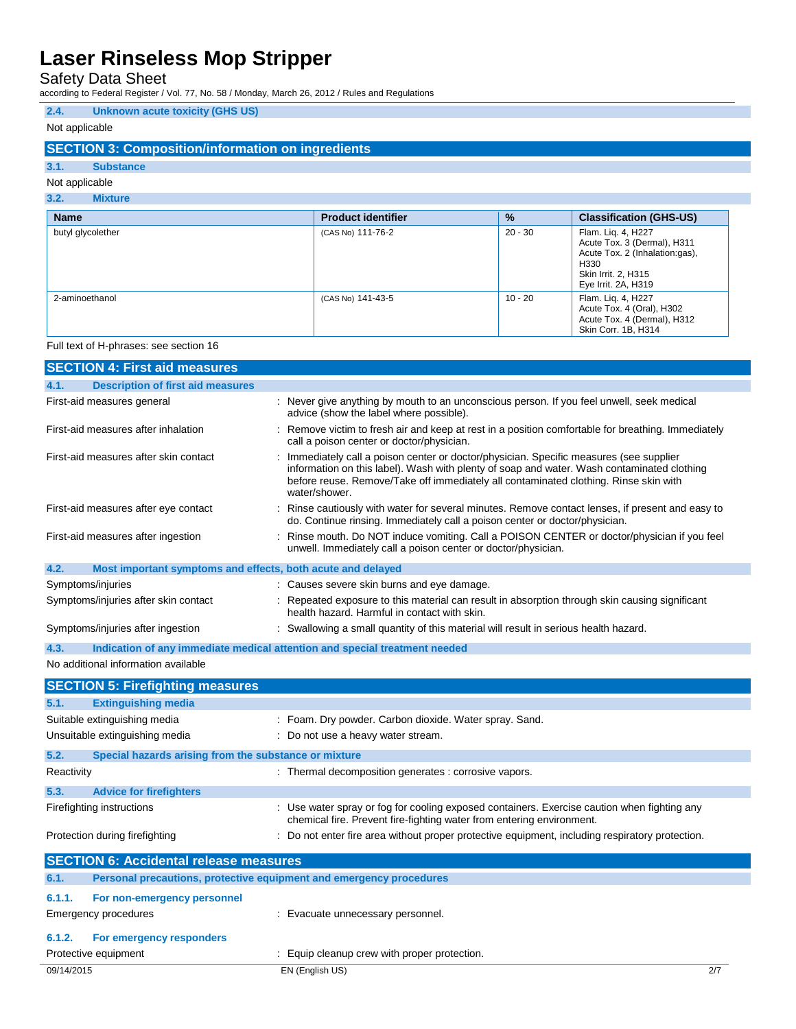Safety Data Sheet

according to Federal Register / Vol. 77, No. 58 / Monday, March 26, 2012 / Rules and Regulations

### **2.4. Unknown acute toxicity (GHS US)**

### Not applicable

### **SECTION 3: Composition/information on ingredients**

### **3.1. Substance**

#### Not applicable **3.2. Mixture**

| ----<br>$\cdots$  |                           |               |                                                                                                                                                       |
|-------------------|---------------------------|---------------|-------------------------------------------------------------------------------------------------------------------------------------------------------|
| <b>Name</b>       | <b>Product identifier</b> | $\frac{9}{6}$ | <b>Classification (GHS-US)</b>                                                                                                                        |
| butyl glycolether | (CAS No) 111-76-2         | $20 - 30$     | Flam. Liq. 4, H227<br>Acute Tox. 3 (Dermal), H311<br>Acute Tox. 2 (Inhalation:gas),<br>H <sub>330</sub><br>Skin Irrit. 2, H315<br>Eye Irrit. 2A, H319 |
| 2-aminoethanol    | (CAS No) 141-43-5         | $10 - 20$     | Flam. Lig. 4, H227<br>Acute Tox. 4 (Oral), H302<br>Acute Tox. 4 (Dermal), H312<br>Skin Corr. 1B, H314                                                 |

#### Full text of H-phrases: see section 16

|                                       | <b>SECTION 4: First aid measures</b>                                |                                                                                                                                                                                                                                                                                              |  |
|---------------------------------------|---------------------------------------------------------------------|----------------------------------------------------------------------------------------------------------------------------------------------------------------------------------------------------------------------------------------------------------------------------------------------|--|
| 4.1.                                  | <b>Description of first aid measures</b>                            |                                                                                                                                                                                                                                                                                              |  |
| First-aid measures general            |                                                                     | : Never give anything by mouth to an unconscious person. If you feel unwell, seek medical<br>advice (show the label where possible).                                                                                                                                                         |  |
| First-aid measures after inhalation   |                                                                     | Remove victim to fresh air and keep at rest in a position comfortable for breathing. Immediately<br>call a poison center or doctor/physician.                                                                                                                                                |  |
| First-aid measures after skin contact |                                                                     | Immediately call a poison center or doctor/physician. Specific measures (see supplier<br>information on this label). Wash with plenty of soap and water. Wash contaminated clothing<br>before reuse. Remove/Take off immediately all contaminated clothing. Rinse skin with<br>water/shower. |  |
|                                       | First-aid measures after eye contact                                | Rinse cautiously with water for several minutes. Remove contact lenses, if present and easy to<br>do. Continue rinsing. Immediately call a poison center or doctor/physician.                                                                                                                |  |
|                                       | First-aid measures after ingestion                                  | Rinse mouth. Do NOT induce vomiting. Call a POISON CENTER or doctor/physician if you feel<br>unwell. Immediately call a poison center or doctor/physician.                                                                                                                                   |  |
| 4.2.                                  | Most important symptoms and effects, both acute and delayed         |                                                                                                                                                                                                                                                                                              |  |
| Symptoms/injuries                     |                                                                     | : Causes severe skin burns and eye damage.                                                                                                                                                                                                                                                   |  |
|                                       | Symptoms/injuries after skin contact                                | Repeated exposure to this material can result in absorption through skin causing significant<br>health hazard. Harmful in contact with skin.                                                                                                                                                 |  |
|                                       | Symptoms/injuries after ingestion                                   | : Swallowing a small quantity of this material will result in serious health hazard.                                                                                                                                                                                                         |  |
| 4.3.                                  |                                                                     | Indication of any immediate medical attention and special treatment needed                                                                                                                                                                                                                   |  |
|                                       | No additional information available                                 |                                                                                                                                                                                                                                                                                              |  |
|                                       | <b>SECTION 5: Firefighting measures</b>                             |                                                                                                                                                                                                                                                                                              |  |
| 5.1.                                  | <b>Extinguishing media</b>                                          |                                                                                                                                                                                                                                                                                              |  |
|                                       | Suitable extinguishing media                                        | Foam. Dry powder. Carbon dioxide. Water spray. Sand.                                                                                                                                                                                                                                         |  |
|                                       | Unsuitable extinguishing media                                      | : Do not use a heavy water stream.                                                                                                                                                                                                                                                           |  |
| 5.2.                                  | Special hazards arising from the substance or mixture               |                                                                                                                                                                                                                                                                                              |  |
| Reactivity                            |                                                                     | : Thermal decomposition generates : corrosive vapors.                                                                                                                                                                                                                                        |  |
| 5.3.                                  | <b>Advice for firefighters</b>                                      |                                                                                                                                                                                                                                                                                              |  |
| Firefighting instructions             |                                                                     | : Use water spray or fog for cooling exposed containers. Exercise caution when fighting any<br>chemical fire. Prevent fire-fighting water from entering environment.                                                                                                                         |  |
| Protection during firefighting        |                                                                     | : Do not enter fire area without proper protective equipment, including respiratory protection.                                                                                                                                                                                              |  |
|                                       | <b>SECTION 6: Accidental release measures</b>                       |                                                                                                                                                                                                                                                                                              |  |
| 6.1.                                  | Personal precautions, protective equipment and emergency procedures |                                                                                                                                                                                                                                                                                              |  |
| 6.1.1.                                | For non-emergency personnel                                         |                                                                                                                                                                                                                                                                                              |  |
| <b>Emergency procedures</b>           |                                                                     | : Evacuate unnecessary personnel.                                                                                                                                                                                                                                                            |  |
| 6.1.2.                                | For emergency responders                                            |                                                                                                                                                                                                                                                                                              |  |
| Protective equipment                  |                                                                     | : Equip cleanup crew with proper protection.                                                                                                                                                                                                                                                 |  |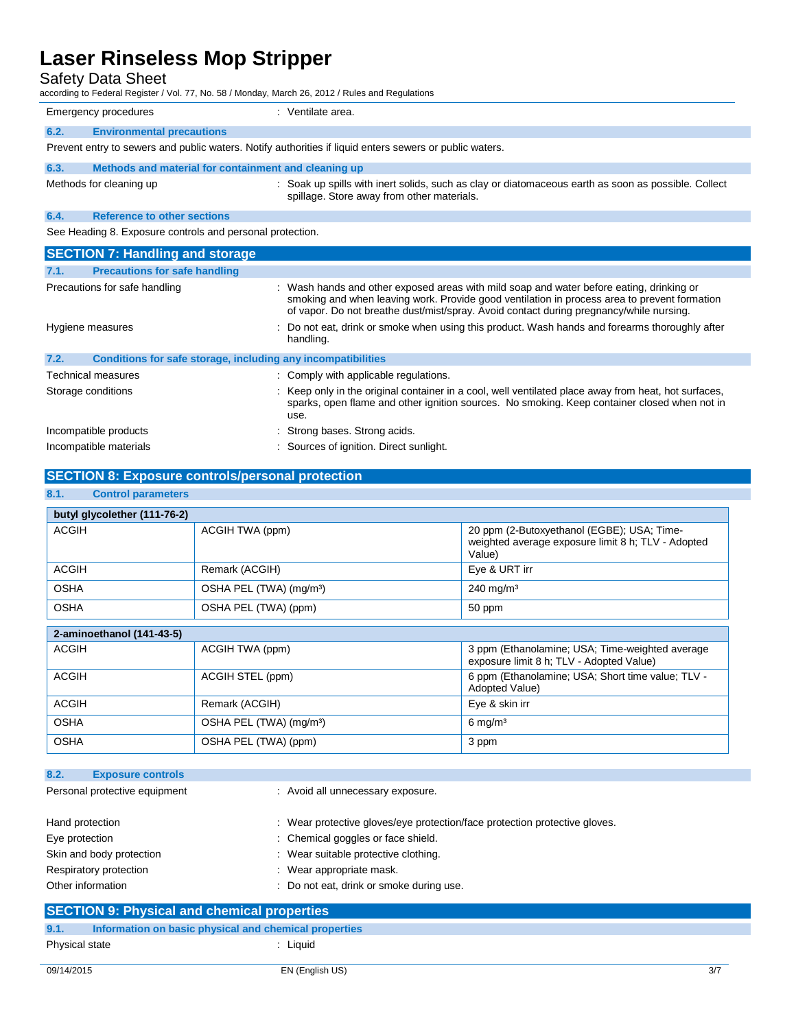### Safety Data Sheet

| according to Federal Register / Vol. 77, No. 58 / Monday, March 26, 2012 / Rules and Regulations        |                                                                                                                                                                                                                                                                                     |  |  |
|---------------------------------------------------------------------------------------------------------|-------------------------------------------------------------------------------------------------------------------------------------------------------------------------------------------------------------------------------------------------------------------------------------|--|--|
| <b>Emergency procedures</b>                                                                             | : Ventilate area.                                                                                                                                                                                                                                                                   |  |  |
| 6.2.<br><b>Environmental precautions</b>                                                                |                                                                                                                                                                                                                                                                                     |  |  |
| Prevent entry to sewers and public waters. Notify authorities if liquid enters sewers or public waters. |                                                                                                                                                                                                                                                                                     |  |  |
| Methods and material for containment and cleaning up<br>6.3.                                            |                                                                                                                                                                                                                                                                                     |  |  |
| Methods for cleaning up                                                                                 | : Soak up spills with inert solids, such as clay or diatomaceous earth as soon as possible. Collect<br>spillage. Store away from other materials.                                                                                                                                   |  |  |
| <b>Reference to other sections</b><br>6.4.                                                              |                                                                                                                                                                                                                                                                                     |  |  |
| See Heading 8. Exposure controls and personal protection.                                               |                                                                                                                                                                                                                                                                                     |  |  |
| <b>SECTION 7: Handling and storage</b>                                                                  |                                                                                                                                                                                                                                                                                     |  |  |
| <b>Precautions for safe handling</b><br>7.1.                                                            |                                                                                                                                                                                                                                                                                     |  |  |
| Precautions for safe handling                                                                           | : Wash hands and other exposed areas with mild soap and water before eating, drinking or<br>smoking and when leaving work. Provide good ventilation in process area to prevent formation<br>of vapor. Do not breathe dust/mist/spray. Avoid contact during pregnancy/while nursing. |  |  |
| Hygiene measures                                                                                        | Do not eat, drink or smoke when using this product. Wash hands and forearms thoroughly after<br>handling.                                                                                                                                                                           |  |  |
| <b>Conditions for safe storage, including any incompatibilities</b><br>7.2.                             |                                                                                                                                                                                                                                                                                     |  |  |
| Technical measures                                                                                      | : Comply with applicable regulations.                                                                                                                                                                                                                                               |  |  |
| Storage conditions                                                                                      | Keep only in the original container in a cool, well ventilated place away from heat, hot surfaces,<br>sparks, open flame and other ignition sources. No smoking. Keep container closed when not in<br>use.                                                                          |  |  |
| Incompatible products                                                                                   | : Strong bases. Strong acids.                                                                                                                                                                                                                                                       |  |  |
| Incompatible materials                                                                                  | : Sources of ignition. Direct sunlight.                                                                                                                                                                                                                                             |  |  |

### **SECTION 8: Exposure controls/personal protection**

### **8.1. Control parameters**

| butyl glycolether (111-76-2) |                                     |                                                                                                            |
|------------------------------|-------------------------------------|------------------------------------------------------------------------------------------------------------|
| <b>ACGIH</b>                 | ACGIH TWA (ppm)                     | 20 ppm (2-Butoxyethanol (EGBE); USA; Time-<br>weighted average exposure limit 8 h; TLV - Adopted<br>Value) |
| <b>ACGIH</b>                 | Remark (ACGIH)                      | Eye & URT irr                                                                                              |
| <b>OSHA</b>                  | OSHA PEL (TWA) (mg/m <sup>3</sup> ) | $240$ mg/m <sup>3</sup>                                                                                    |
| <b>OSHA</b>                  | OSHA PEL (TWA) (ppm)                | 50 ppm                                                                                                     |
| 2-aminoethanol (141-43-5)    |                                     |                                                                                                            |
| <b>ACGIH</b>                 | ACGIH TWA (ppm)                     | 3 ppm (Ethanolamine; USA; Time-weighted average<br>exposure limit 8 h; TLV - Adopted Value)                |
| <b>ACGIH</b>                 | ACGIH STEL (ppm)                    | 6 ppm (Ethanolamine: USA; Short time value: TLV -<br>Adopted Value)                                        |
| <b>ACGIH</b>                 | Remark (ACGIH)                      | Eye & skin irr                                                                                             |
| <b>OSHA</b>                  | OSHA PEL (TWA) (mg/m <sup>3</sup> ) | $6 \text{ mg/m}^3$                                                                                         |
| <b>OSHA</b>                  | OSHA PEL (TWA) (ppm)                | 3 ppm                                                                                                      |

| 8.2.<br><b>Exposure controls</b>            |                                                                            |
|---------------------------------------------|----------------------------------------------------------------------------|
| Personal protective equipment               | : Avoid all unnecessary exposure.                                          |
| Hand protection                             | : Wear protective gloves/eye protection/face protection protective gloves. |
| Eye protection                              | : Chemical goggles or face shield.                                         |
| Skin and body protection                    | : Wear suitable protective clothing.                                       |
| Respiratory protection                      | : Wear appropriate mask.                                                   |
| Other information                           | : Do not eat, drink or smoke during use.                                   |
| SECTION 0. Physical and chamical proportios |                                                                            |

|                | <b>SECTION 9: Physical and chemical properties</b>    |                 |     |
|----------------|-------------------------------------------------------|-----------------|-----|
| 9.1.           | Information on basic physical and chemical properties |                 |     |
| Physical state |                                                       | Liauid          |     |
| 09/14/2015     |                                                       | EN (English US) | 3/7 |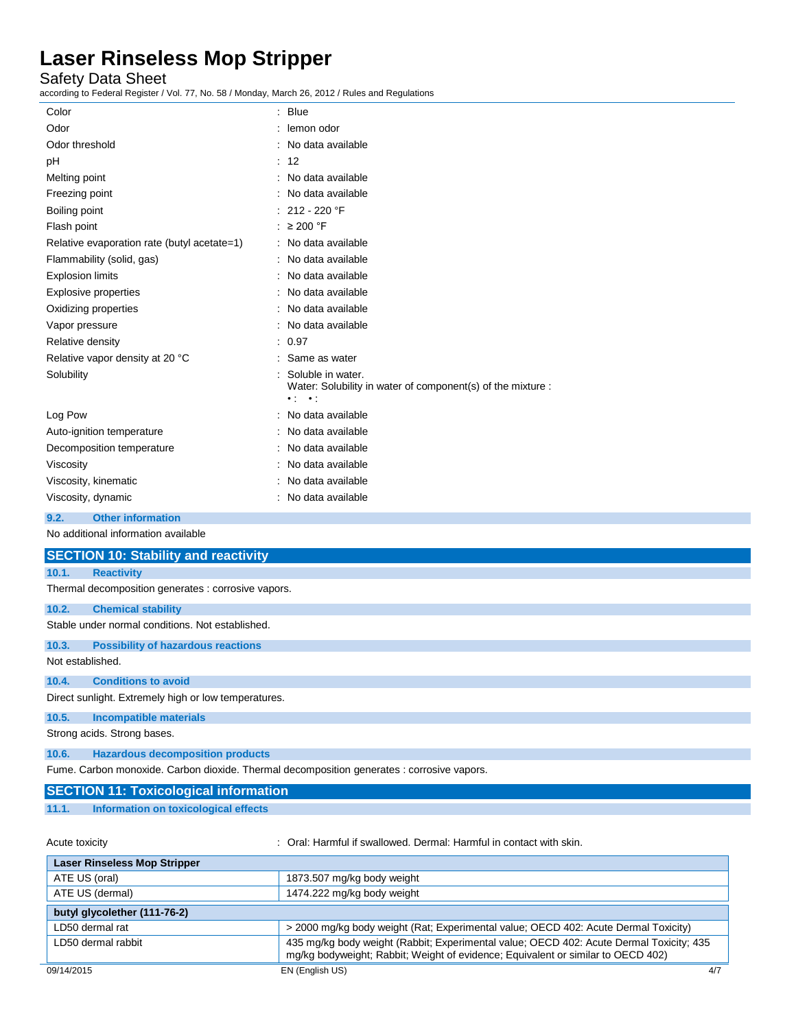Safety Data Sheet

according to Federal Register / Vol. 77, No. 58 / Monday, March 26, 2012 / Rules and Regulations

| looorumy to Foucial Register / Vol. 77, No. 907 Monday, March 20, 2012 / Ruics and Regulations |                                                                                                             |  |
|------------------------------------------------------------------------------------------------|-------------------------------------------------------------------------------------------------------------|--|
| : Blue<br>Color                                                                                |                                                                                                             |  |
| Odor                                                                                           | : lemon odor                                                                                                |  |
| Odor threshold                                                                                 | : No data available                                                                                         |  |
| pH                                                                                             | : 12                                                                                                        |  |
| Melting point                                                                                  | : No data available                                                                                         |  |
| Freezing point                                                                                 | : No data available                                                                                         |  |
| Boiling point                                                                                  | : 212 - 220 $\degree$ F                                                                                     |  |
| Flash point                                                                                    | : $\geq 200$ °F                                                                                             |  |
| Relative evaporation rate (butyl acetate=1)                                                    | : No data available                                                                                         |  |
| Flammability (solid, gas)                                                                      | : No data available                                                                                         |  |
| <b>Explosion limits</b>                                                                        | : No data available                                                                                         |  |
| <b>Explosive properties</b>                                                                    | : No data available                                                                                         |  |
| Oxidizing properties                                                                           | : No data available                                                                                         |  |
| Vapor pressure                                                                                 | : No data available                                                                                         |  |
| Relative density                                                                               | : 0.97                                                                                                      |  |
| Relative vapor density at 20 °C                                                                | : Same as water                                                                                             |  |
| Solubility                                                                                     | Soluble in water.<br>Water: Solubility in water of component(s) of the mixture :<br>$\bullet$ , $\bullet$ , |  |
| Log Pow                                                                                        | : No data available                                                                                         |  |
| Auto-ignition temperature                                                                      | : No data available                                                                                         |  |
| Decomposition temperature                                                                      | No data available                                                                                           |  |
| Viscosity                                                                                      | : No data available                                                                                         |  |
| Viscosity, kinematic                                                                           | : No data available                                                                                         |  |
| Viscosity, dynamic                                                                             | : No data available                                                                                         |  |
| <b>Other information</b><br>9.2.                                                               |                                                                                                             |  |
| No additional information available                                                            |                                                                                                             |  |
| <b>SECTION 10: Stability and reactivity</b>                                                    |                                                                                                             |  |
| <b>Reactivity</b><br>10.1.                                                                     |                                                                                                             |  |
| Thermal decomposition generates : corrosive vapors.                                            |                                                                                                             |  |
| 10.2.<br><b>Chemical stability</b>                                                             |                                                                                                             |  |
| Stable under normal conditions. Not established.                                               |                                                                                                             |  |
| 10.3.<br><b>Possibility of hazardous reactions</b>                                             |                                                                                                             |  |
| Not established.                                                                               |                                                                                                             |  |
| 10.4.<br><b>Conditions to avoid</b>                                                            |                                                                                                             |  |
| Direct sunlight. Extremely high or low temperatures.                                           |                                                                                                             |  |
| 10.5.<br><b>Incompatible materials</b>                                                         |                                                                                                             |  |
| Strong acids. Strong bases.                                                                    |                                                                                                             |  |
| <b>Hazardous decomposition products</b><br>10.6.                                               |                                                                                                             |  |
| Fume. Carbon monoxide. Carbon dioxide. Thermal decomposition generates : corrosive vapors.     |                                                                                                             |  |
| <b>SECTION 11: Toxicological information</b>                                                   |                                                                                                             |  |

**11.1. Information on toxicological effects**

Acute toxicity **State of the Contract Contract State of the Contract Contract Contract With Skin.** Contact with skin.

| <b>Laser Rinseless Mop Stripper</b>         |                                                                                                                                                                             |
|---------------------------------------------|-----------------------------------------------------------------------------------------------------------------------------------------------------------------------------|
| ATE US (oral)<br>1873.507 mg/kg body weight |                                                                                                                                                                             |
| ATE US (dermal)                             | 1474.222 mg/kg body weight                                                                                                                                                  |
| butyl glycolether (111-76-2)                |                                                                                                                                                                             |
| LD50 dermal rat                             | > 2000 mg/kg body weight (Rat; Experimental value; OECD 402: Acute Dermal Toxicity)                                                                                         |
| LD50 dermal rabbit                          | 435 mg/kg body weight (Rabbit; Experimental value; OECD 402: Acute Dermal Toxicity; 435<br>mg/kg bodyweight; Rabbit; Weight of evidence; Equivalent or similar to OECD 402) |
| 09/14/2015                                  | EN (English US)<br>4/7                                                                                                                                                      |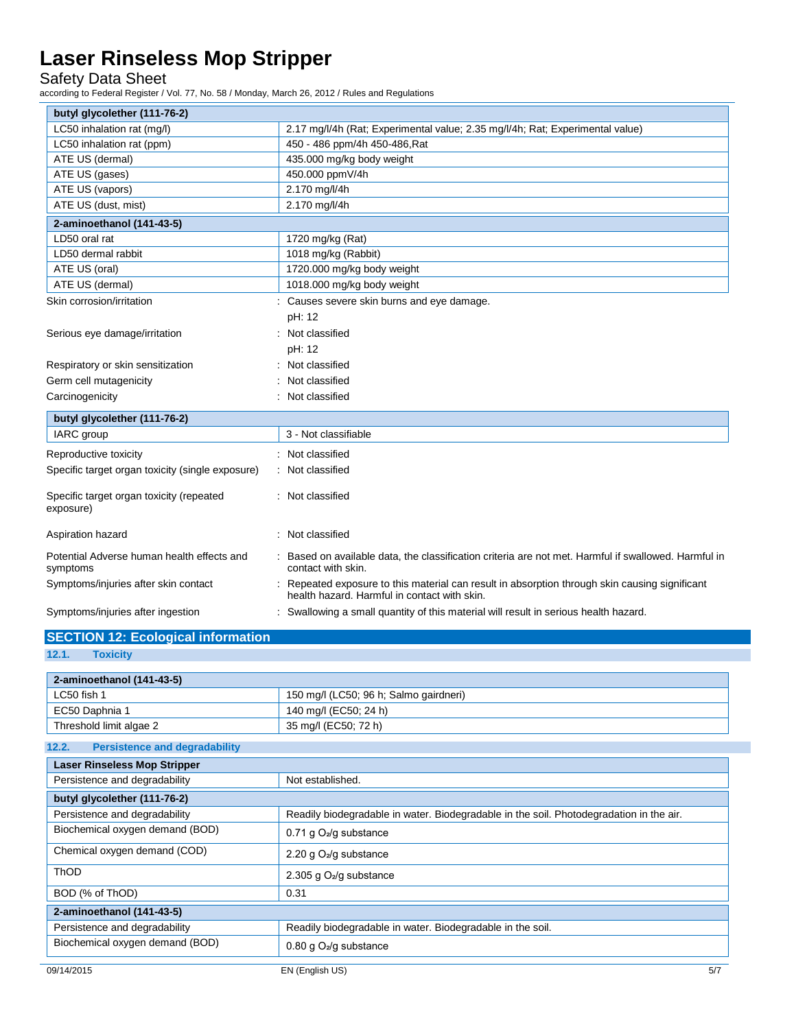Safety Data Sheet

according to Federal Register / Vol. 77, No. 58 / Monday, March 26, 2012 / Rules and Regulations

| butyl glycolether (111-76-2)                           |                                                                                                                                              |
|--------------------------------------------------------|----------------------------------------------------------------------------------------------------------------------------------------------|
| LC50 inhalation rat (mg/l)                             | 2.17 mg/l/4h (Rat; Experimental value; 2.35 mg/l/4h; Rat; Experimental value)                                                                |
| LC50 inhalation rat (ppm)                              | 450 - 486 ppm/4h 450-486, Rat                                                                                                                |
| ATE US (dermal)                                        | 435.000 mg/kg body weight                                                                                                                    |
| ATE US (gases)                                         | 450.000 ppmV/4h                                                                                                                              |
| ATE US (vapors)                                        | 2.170 mg/l/4h                                                                                                                                |
| ATE US (dust, mist)                                    | 2.170 mg/l/4h                                                                                                                                |
| 2-aminoethanol (141-43-5)                              |                                                                                                                                              |
| LD50 oral rat                                          | 1720 mg/kg (Rat)                                                                                                                             |
| LD50 dermal rabbit                                     | 1018 mg/kg (Rabbit)                                                                                                                          |
| ATE US (oral)                                          | 1720.000 mg/kg body weight                                                                                                                   |
| ATE US (dermal)                                        | 1018.000 mg/kg body weight                                                                                                                   |
| Skin corrosion/irritation                              | Causes severe skin burns and eye damage.                                                                                                     |
|                                                        | pH: 12                                                                                                                                       |
| Serious eye damage/irritation                          | Not classified                                                                                                                               |
|                                                        | pH: 12                                                                                                                                       |
| Respiratory or skin sensitization                      | Not classified                                                                                                                               |
| Germ cell mutagenicity                                 | Not classified                                                                                                                               |
| Carcinogenicity                                        | Not classified                                                                                                                               |
| butyl glycolether (111-76-2)                           |                                                                                                                                              |
| IARC group                                             | 3 - Not classifiable                                                                                                                         |
| Reproductive toxicity                                  | Not classified                                                                                                                               |
| Specific target organ toxicity (single exposure)       | Not classified                                                                                                                               |
| Specific target organ toxicity (repeated<br>exposure)  | : Not classified                                                                                                                             |
| Aspiration hazard                                      | Not classified                                                                                                                               |
| Potential Adverse human health effects and<br>symptoms | Based on available data, the classification criteria are not met. Harmful if swallowed. Harmful in<br>contact with skin.                     |
| Symptoms/injuries after skin contact                   | Repeated exposure to this material can result in absorption through skin causing significant<br>health hazard. Harmful in contact with skin. |
| Symptoms/injuries after ingestion                      | Swallowing a small quantity of this material will result in serious health hazard.                                                           |

### **SECTION 12: Ecological information**

| 12.1.<br><b>Toxicity</b>                      |                                                                                         |  |
|-----------------------------------------------|-----------------------------------------------------------------------------------------|--|
| 2-aminoethanol (141-43-5)                     |                                                                                         |  |
| LC50 fish 1                                   | 150 mg/l (LC50; 96 h; Salmo gairdneri)                                                  |  |
| EC50 Daphnia 1                                | 140 mg/l (EC50; 24 h)                                                                   |  |
| Threshold limit algae 2                       | 35 mg/l (EC50; 72 h)                                                                    |  |
| <b>Persistence and degradability</b><br>12.2. |                                                                                         |  |
| <b>Laser Rinseless Mop Stripper</b>           |                                                                                         |  |
| Persistence and degradability                 | Not established.                                                                        |  |
| butyl glycolether (111-76-2)                  |                                                                                         |  |
| Persistence and degradability                 | Readily biodegradable in water. Biodegradable in the soil. Photodegradation in the air. |  |
| Biochemical oxygen demand (BOD)               | 0.71 g $O_2$ /g substance                                                               |  |
| Chemical oxygen demand (COD)                  | 2.20 g $O_2$ /g substance                                                               |  |
| ThOD                                          | 2.305 g $O2/g$ substance                                                                |  |
| BOD (% of ThOD)                               | 0.31                                                                                    |  |
| 2-aminoethanol (141-43-5)                     |                                                                                         |  |
| Persistence and degradability                 | Readily biodegradable in water. Biodegradable in the soil.                              |  |
| Biochemical oxygen demand (BOD)               | 0.80 g $O_2$ /g substance                                                               |  |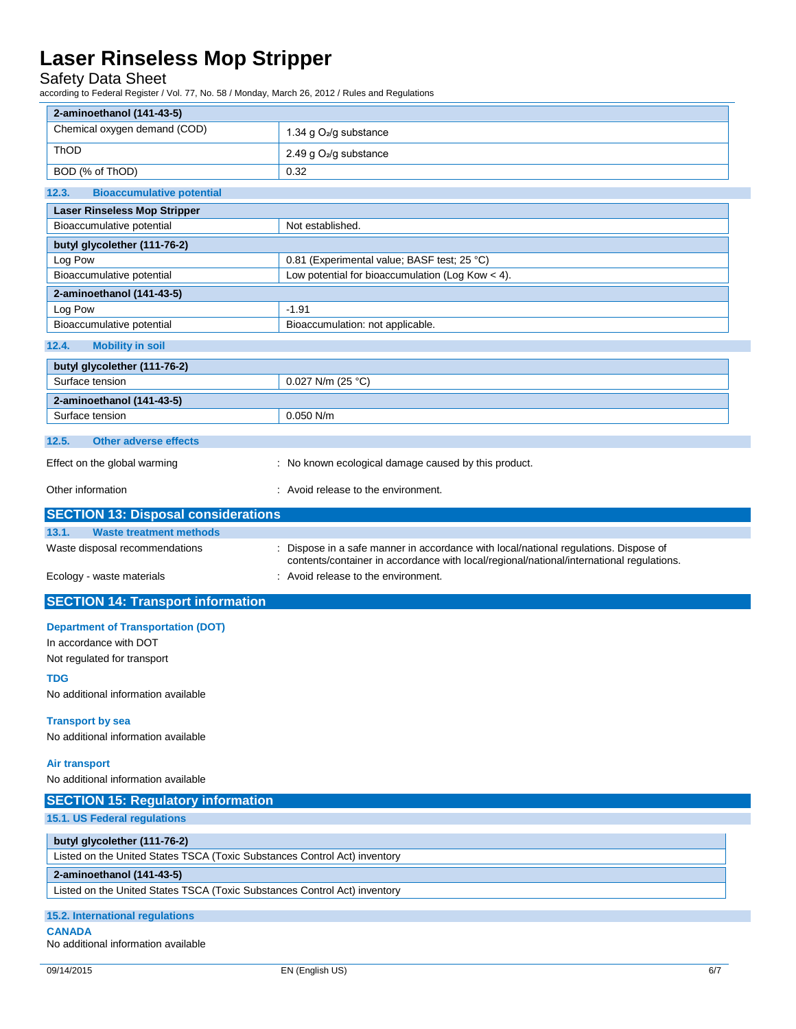### Safety Data Sheet

according to Federal Register / Vol. 77, No. 58 / Monday, March 26, 2012 / Rules and Regulations

| 2-aminoethanol (141-43-5)                                                 |                                                                                                                                                                                |
|---------------------------------------------------------------------------|--------------------------------------------------------------------------------------------------------------------------------------------------------------------------------|
| Chemical oxygen demand (COD)                                              | 1.34 g O <sub>2</sub> /g substance                                                                                                                                             |
| ThOD                                                                      | 2.49 g O <sub>2</sub> /g substance                                                                                                                                             |
| BOD (% of ThOD)                                                           | 0.32                                                                                                                                                                           |
| 12.3.<br><b>Bioaccumulative potential</b>                                 |                                                                                                                                                                                |
| <b>Laser Rinseless Mop Stripper</b>                                       |                                                                                                                                                                                |
| Bioaccumulative potential                                                 | Not established.                                                                                                                                                               |
| butyl glycolether (111-76-2)                                              |                                                                                                                                                                                |
| Log Pow                                                                   | 0.81 (Experimental value; BASF test; 25 °C)                                                                                                                                    |
| Bioaccumulative potential                                                 | Low potential for bioaccumulation (Log Kow $<$ 4).                                                                                                                             |
| 2-aminoethanol (141-43-5)                                                 |                                                                                                                                                                                |
| Log Pow                                                                   | $-1.91$                                                                                                                                                                        |
| Bioaccumulative potential                                                 | Bioaccumulation: not applicable.                                                                                                                                               |
| 12.4.<br><b>Mobility in soil</b>                                          |                                                                                                                                                                                |
| butyl glycolether (111-76-2)                                              |                                                                                                                                                                                |
| Surface tension                                                           | 0.027 N/m (25 °C)                                                                                                                                                              |
| 2-aminoethanol (141-43-5)                                                 |                                                                                                                                                                                |
| Surface tension                                                           | $0.050$ N/m                                                                                                                                                                    |
| 12.5.<br><b>Other adverse effects</b>                                     |                                                                                                                                                                                |
| Effect on the global warming                                              | : No known ecological damage caused by this product.                                                                                                                           |
| Other information                                                         | : Avoid release to the environment.                                                                                                                                            |
| <b>SECTION 13: Disposal considerations</b>                                |                                                                                                                                                                                |
| 13.1.<br><b>Waste treatment methods</b>                                   |                                                                                                                                                                                |
| Waste disposal recommendations                                            | Dispose in a safe manner in accordance with local/national regulations. Dispose of<br>contents/container in accordance with local/regional/national/international regulations. |
| Ecology - waste materials                                                 | : Avoid release to the environment.                                                                                                                                            |
| <b>SECTION 14: Transport information</b>                                  |                                                                                                                                                                                |
| <b>Department of Transportation (DOT)</b>                                 |                                                                                                                                                                                |
| In accordance with DOT                                                    |                                                                                                                                                                                |
| Not regulated for transport                                               |                                                                                                                                                                                |
| <b>TDG</b><br>No additional information available                         |                                                                                                                                                                                |
|                                                                           |                                                                                                                                                                                |
| <b>Transport by sea</b><br>No additional information available            |                                                                                                                                                                                |
| <b>Air transport</b>                                                      |                                                                                                                                                                                |
| No additional information available                                       |                                                                                                                                                                                |
| <b>SECTION 15: Regulatory information</b>                                 |                                                                                                                                                                                |
| 15.1. US Federal regulations                                              |                                                                                                                                                                                |
| butyl glycolether (111-76-2)                                              |                                                                                                                                                                                |
| Listed on the United States TSCA (Toxic Substances Control Act) inventory |                                                                                                                                                                                |
| 2-aminoethanol (141-43-5)                                                 |                                                                                                                                                                                |
| Listed on the United States TSCA (Toxic Substances Control Act) inventory |                                                                                                                                                                                |
| 15.2. International regulations                                           |                                                                                                                                                                                |
| <b>CANADA</b>                                                             |                                                                                                                                                                                |
| No additional information available                                       |                                                                                                                                                                                |